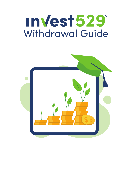# InVest529 Withdrawal Guide

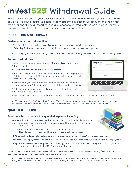## **InVest 529° Withdrawal Guide**

This guide should answer your questions about how to withdraw funds from your Invest529 and/ or CollegeWealth® account. Additionally, learn about the impact of 529 accounts on scholarships, federal financial aid, tax reporting, and a number of other frequently asked questions. For more detailed information, refer to the applicable Program Description.

#### **REQUESTING A WITHDRAWAL**

#### **Review your account information**

- 1. Visit Virginia529.com and select **My Account** to log in or create an online user profile.
- 2. Select **My Profile** to access your account information and make any necessary updates.

*NOTE: Changing your address or adding a new bank account when withdrawing funds will result in a slight processing delay.* 

#### **Request a withdrawal**

1. After logging in to your account, select **Manage My Accounts**, then **Withdraw Funds**.

2. On the **Withdraw Funds** page, select **Get Started**.

3. Select the account and purpose of the withdrawal. If selecting a purpose of "Higher Education" or "K-12 Education," enter an institution name and Student ID (if applicable).

4. Select where you want to send the funds. Funds may be sent to the account owner, beneficiary (student), or an eligible educational institution.

5. Enter an amount to withdraw and a preferred method to receive the funds (bank transfer or check).

6. Review the details and submit the request. Withdrawals are typically processed within 2-3 business days.

*NOTE: You may begin using Tuition Track Portfolio (TTP) Units once they have been held for 3 or more years and the student reaches the Expected Usage Date or begins taking eligible post-secondary courses (See Program Description).*

#### **QUALIFIED EXPENSES**

#### **Funds may be used for certain qualified expenses including:**

**• Higher Education:** Tuition, fees, meal plans, room and board, textbooks, computers and related equipment and any other supplies required for attendance, including special needs services.

• The student must be enrolled for at least half the normal full-time workload to qualify for room and board or off-campus housing expenses.

- **K-12 Education:** Tuition at private, public and religious schools—up to \$10,000 per student per year.
- **Student Loan Repayment:** A lifetime maximum of \$10,000 per student toward qualified student loan repayment.
- **Registered Apprenticeship Programs:** Fees, training, supplies and other required equipment. The program must be registered and certified with the U.S. Department of Labor.

Non-qualified higher education expenses include, but are not limited to, application and testing fees, transportation costs, health insurance, extracurricular activities and tutoring.

*NOTE: You may be reimbursed for qualified higher education expenses that have already been incurred. The IRS recommends taking the withdrawal in the same year the expense was paid, but there is no official rule for this requirement.*

| One-Time Contribution<br>Welcome!<br><b>Recurring Contributions</b><br>Change Investments or More Funds<br><b>Update Book Information</b><br><b>Giract Deposit Assistant</b><br><b>Update Addresses</b><br>Account Update: Processing<br>he Holiday, (link)<br><b>Unit Personal Finance Software</b><br><b>Request Payment Coupons</b><br><b>Other Transactions</b><br><b>Account Summary</b> | Open on Account | <b>Manage My Accounts</b><br><b>West My Accounts</b><br><b>Gift Center</b><br><b>Withdrew Funds</b> | <b>Help Dak</b> |
|-----------------------------------------------------------------------------------------------------------------------------------------------------------------------------------------------------------------------------------------------------------------------------------------------------------------------------------------------------------------------------------------------|-----------------|-----------------------------------------------------------------------------------------------------|-----------------|
|                                                                                                                                                                                                                                                                                                                                                                                               |                 |                                                                                                     |                 |
|                                                                                                                                                                                                                                                                                                                                                                                               |                 |                                                                                                     |                 |
|                                                                                                                                                                                                                                                                                                                                                                                               |                 |                                                                                                     |                 |
|                                                                                                                                                                                                                                                                                                                                                                                               |                 |                                                                                                     |                 |
|                                                                                                                                                                                                                                                                                                                                                                                               |                 |                                                                                                     |                 |
|                                                                                                                                                                                                                                                                                                                                                                                               |                 |                                                                                                     |                 |
|                                                                                                                                                                                                                                                                                                                                                                                               |                 |                                                                                                     |                 |
|                                                                                                                                                                                                                                                                                                                                                                                               |                 |                                                                                                     |                 |

 $V$ 

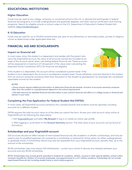#### **EDUCATIONAL INSTITUTIONS**

#### **Higher Education**

Funds may be used at any college, university, or vocational school in the U.S. or abroad that participates in federal financial aid programs, to include undergraduate and graduate degrees, and other various certification and training programs. Search for eligible schools or school codes on the U.S. Department of Education's Federal Student Aid website, https://studentaid.gov/.

#### **K-12 Education**

Funds may be used for up to \$10,000 toward tuition per year at any elementary or secondary public, private or religious school as determined under applicable state law.

#### **FINANCIAL AID AND SCHOLARSHIPS**

#### **Impact on financial aid**

In most cases, when the student is a dependent and resides with the parent who owns the Virginia529 account, the value of all accounts owned are included as an asset of the account owner when calculating federal financial aid. These accounts will be assessed at a maximum of 5.64 percent of the value when calculating the Expected Family Contribution (EFC) for financial aid eligibility.



If the student is a dependent, the account will be considered a parent asset. If the

student is not a dependent, the account is considered a student asset. Funds withdrawn and sent directly to the student from an account owned by someone other than the parent or the student (a grandparent, for example) are considered reportable income for the student.

#### *NOTES:*

- *Some schools require additional information to determine financial aid awards. Inclusion of accounts owned by someone other than the student or custodial parent depend on the school requirements.*
- *The best resource for detailed financial aid information is your school's financial aid office or a college access or financial aid advisor in your area.*

#### **Completing the Free Application for Federal Student Aid (FAFSA)**

In most cases, all Virginia529 accounts owned by the custodial parents and students must be reported, including accounts for a different student.

FAFSA requires the total account value as of the date you submit the form. Access your total account value online at Virginia529.com by following the steps below.

1. Visit Virginia529.com and select **My Account** to log in or create an online user profile.

2. After logging in, scroll down to the Account Summary section. The total value of your accounts can be found at the bottom.

#### **Scholarships and your Virginia529 account**

529 accounts should not affect receipt of merit-based financial aid, like academic or athletic scholarships, and may be used to pay for qualified expenses not covered by a scholarship or retained for future years, for either undergraduate or graduate school. A scholarship refund may also be requested from your Virginia529 account, penalty-free, up to the amount of the scholarship.

NCAA scholarship rules may impact 529 withdrawals – contact your school to discuss any interplay between your accounts and any NCAA scholarship.

*NOTE: Scholarships may include grants awarded to students for academic, athletic, musical or other special abilities, certain tuition remission benefits for children of university employees, and appointments to a U.S. military academy. Scholarships do not include need-based financial aid, including student loans or work-study programs.*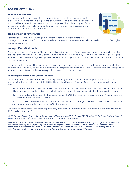### **TAX INFORMATION**

#### **Keep accurate records**

You are responsible for maintaining documentation of all qualified higher education expenses. No documentation is required to be submitted with a withdrawal request, but should still be retained for your records and tax purposes. This includes copies of tuition invoices, meal plan contracts, documentation of rent if living off campus, receipts for textbooks and other qualified expenses.

#### **Tax treatment of withdrawals**

Earnings on Virginia529 accounts grow free from federal and Virginia state taxes (for Virginia state taxpayers) and are excluded for income tax purposes when funds are used to pay qualified higher education expenses.

#### **Non-qualified withdrawals**

The earnings portion of non-qualified withdrawals are taxable as ordinary income and, unless an exception applies, are subject to a federal penalty of 10 percent. Non-qualified withdrawals may result in the recapture of prior Virginia income tax deductions for Virginia taxpayers. Non-Virginia taxpayers should contact their state's department of taxation for more information.

Exceptions to the non-qualified withdrawal rules include the investment earnings of a withdrawal made due to the student's death, disability or receipt of a scholarship. Exceptions are not subject to the 10 percent penalty or recapture of income tax deductions, but the earnings portion is taxed as ordinary income.

#### **Reporting withdrawals in your tax returns**

It's not required to report withdrawals used for qualified higher education expenses on your federal tax return. Virginia529 will issue an IRS Form 1099-Q (Qualified Tuition Program Payments) each year in which a withdrawal is made.

- For withdrawals made payable to the student or a school, the 1099-Q is sent to the student. Note: Account owners will not be able to view the digital copy in their online account; it is only available in the student's online account.
- For withdrawals made payable to the account owner, the 1099-Q is sent to the account owner. A digital copy can be accessed through your online account.
- Non-qualified withdrawals will incur a 10 percent penalty on the earnings portion of that non-qualified withdrawal and should be reported as income by the 1099-Q recipient.

The same qualified higher education expense may not qualify for more than one tax benefit (e.g. tax-free withdrawals AND a federal tax credit).

*NOTE: For more information on the tax treatment of withdrawals see IRS Publication 970, "Tax Benefits for Education," available at*  irs.gov*. You may also call the IRS at 1-800-829-3676 OR consult your tax adviser.*

*IMPORTANT NOTICE: Individual tax situations vary greatly. Please consult a tax adviser concerning any legal or tax implications arising from opening or using your Virginia529 account. Virginia529 cannot provide legal, financial or tax advice and the information in this Withdrawal Guide should not be construed as such with respect to the consequences for any particular individual as a result of contributions to, investment of, or withdrawals from a Virginia529 account.*